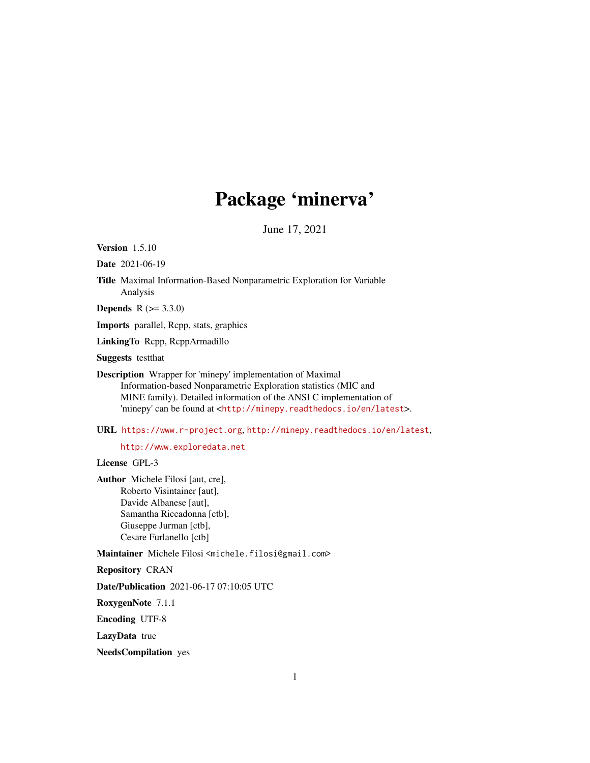# Package 'minerva'

June 17, 2021

<span id="page-0-0"></span>Version 1.5.10

Date 2021-06-19

Title Maximal Information-Based Nonparametric Exploration for Variable Analysis

**Depends** R  $(>= 3.3.0)$ 

Imports parallel, Rcpp, stats, graphics

LinkingTo Rcpp, RcppArmadillo

Suggests testthat

Description Wrapper for 'minepy' implementation of Maximal Information-based Nonparametric Exploration statistics (MIC and MINE family). Detailed information of the ANSI C implementation of 'minepy' can be found at <<http://minepy.readthedocs.io/en/latest>>.

URL <https://www.r-project.org>, <http://minepy.readthedocs.io/en/latest>,

<http://www.exploredata.net>

License GPL-3

Author Michele Filosi [aut, cre], Roberto Visintainer [aut], Davide Albanese [aut], Samantha Riccadonna [ctb], Giuseppe Jurman [ctb], Cesare Furlanello [ctb]

Maintainer Michele Filosi <michele.filosi@gmail.com>

Repository CRAN

Date/Publication 2021-06-17 07:10:05 UTC

RoxygenNote 7.1.1

Encoding UTF-8

LazyData true

NeedsCompilation yes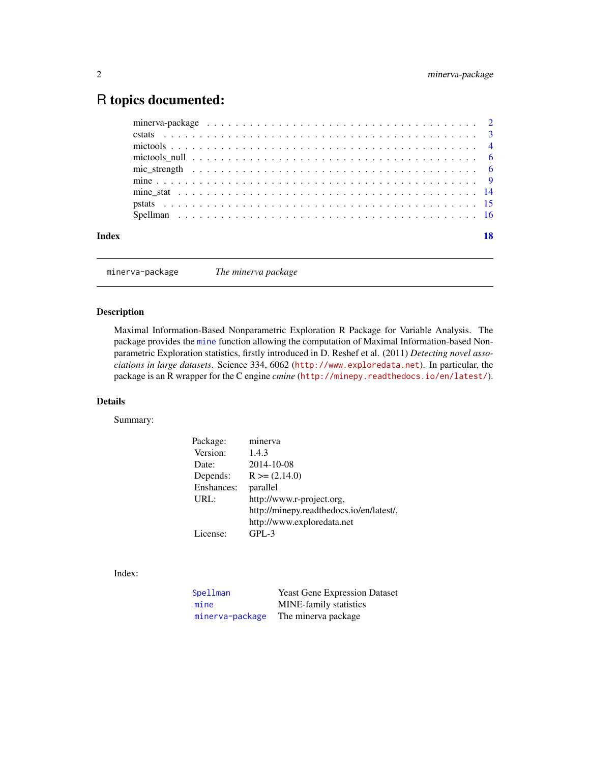# <span id="page-1-0"></span>R topics documented:

|       | mictools null $\ldots \ldots \ldots \ldots \ldots \ldots \ldots \ldots \ldots \ldots \ldots \ldots \ldots$ |
|-------|------------------------------------------------------------------------------------------------------------|
|       |                                                                                                            |
|       |                                                                                                            |
|       |                                                                                                            |
|       |                                                                                                            |
|       |                                                                                                            |
|       |                                                                                                            |
| Index |                                                                                                            |
|       |                                                                                                            |

<span id="page-1-1"></span>minerva-package *The minerva package*

# Description

Maximal Information-Based Nonparametric Exploration R Package for Variable Analysis. The package provides the [mine](#page-8-1) function allowing the computation of Maximal Information-based Nonparametric Exploration statistics, firstly introduced in D. Reshef et al. (2011) *Detecting novel associations in large datasets*. Science 334, 6062 (<http://www.exploredata.net>). In particular, the package is an R wrapper for the C engine *cmine* (<http://minepy.readthedocs.io/en/latest/>).

# Details

Summary:

| Package:   | minerva                                  |
|------------|------------------------------------------|
| Version:   | 1.4.3                                    |
| Date:      | 2014-10-08                               |
| Depends:   | $R \ge (2.14.0)$                         |
| Enshances: | parallel                                 |
| URL:       | http://www.r-project.org,                |
|            | http://minepy.readthedocs.io/en/latest/, |
|            | http://www.exploredata.net               |
| License:   | $GPL-3$                                  |
|            |                                          |

Index:

| Spellman        | <b>Yeast Gene Expression Dataset</b> |
|-----------------|--------------------------------------|
| mine            | <b>MINE-family statistics</b>        |
| minerva-package | The minerva package                  |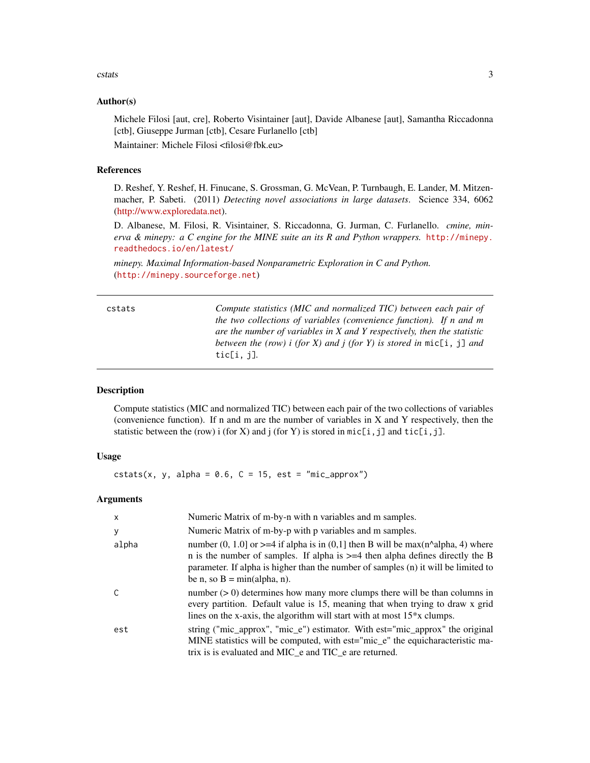#### <span id="page-2-0"></span>cstats 3

#### Author(s)

Michele Filosi [aut, cre], Roberto Visintainer [aut], Davide Albanese [aut], Samantha Riccadonna [ctb], Giuseppe Jurman [ctb], Cesare Furlanello [ctb] Maintainer: Michele Filosi <filosi@fbk.eu>

#### References

D. Reshef, Y. Reshef, H. Finucane, S. Grossman, G. McVean, P. Turnbaugh, E. Lander, M. Mitzenmacher, P. Sabeti. (2011) *Detecting novel associations in large datasets*. Science 334, 6062 [\(http://www.exploredata.net\)](http://www.exploredata.net).

D. Albanese, M. Filosi, R. Visintainer, S. Riccadonna, G. Jurman, C. Furlanello. *cmine, minerva & minepy: a C engine for the MINE suite an its R and Python wrappers.* [http://minepy.](http://minepy.readthedocs.io/en/latest/) [readthedocs.io/en/latest/](http://minepy.readthedocs.io/en/latest/)

*minepy. Maximal Information-based Nonparametric Exploration in C and Python.* (<http://minepy.sourceforge.net>)

cstats *Compute statistics (MIC and normalized TIC) between each pair of the two collections of variables (convenience function). If n and m are the number of variables in X and Y respectively, then the statistic between the (row) i (for X) and j (for Y) is stored in* mic[i, j] *and* tic[i, j]*.*

# Description

Compute statistics (MIC and normalized TIC) between each pair of the two collections of variables (convenience function). If n and m are the number of variables in  $X$  and  $Y$  respectively, then the statistic between the (row) i (for X) and j (for Y) is stored in  $mic[i,j]$  and  $tic[i,j]$ .

# Usage

 ${\text{cstats}}(x, y, \text{ alpha} = 0.6, \text{ C} = 15, \text{ est} = \text{"mic\_approx"})$ 

#### Arguments

| $\mathsf{x}$ | Numeric Matrix of m-by-n with n variables and m samples.                                                                                                                                                                                                                                        |
|--------------|-------------------------------------------------------------------------------------------------------------------------------------------------------------------------------------------------------------------------------------------------------------------------------------------------|
| У            | Numeric Matrix of m-by-p with p variables and m samples.                                                                                                                                                                                                                                        |
| alpha        | number (0, 1.0) or $>=$ 4 if alpha is in (0,1) then B will be max(n^alpha, 4) where<br>n is the number of samples. If alpha is $>=$ 4 then alpha defines directly the B<br>parameter. If alpha is higher than the number of samples (n) it will be limited to<br>be n, so $B = min(alpha, n)$ . |
| C            | number $(0)$ determines how many more clumps there will be than columns in<br>every partition. Default value is 15, meaning that when trying to draw x grid<br>lines on the x-axis, the algorithm will start with at most $15*x$ clumps.                                                        |
| est          | string ("mic_approx", "mic_e") estimator. With est="mic_approx" the original<br>MINE statistics will be computed, with est= $\text{``mic\_e''}$ the equicharacteristic ma-<br>trix is is evaluated and MIC_e and TIC_e are returned.                                                            |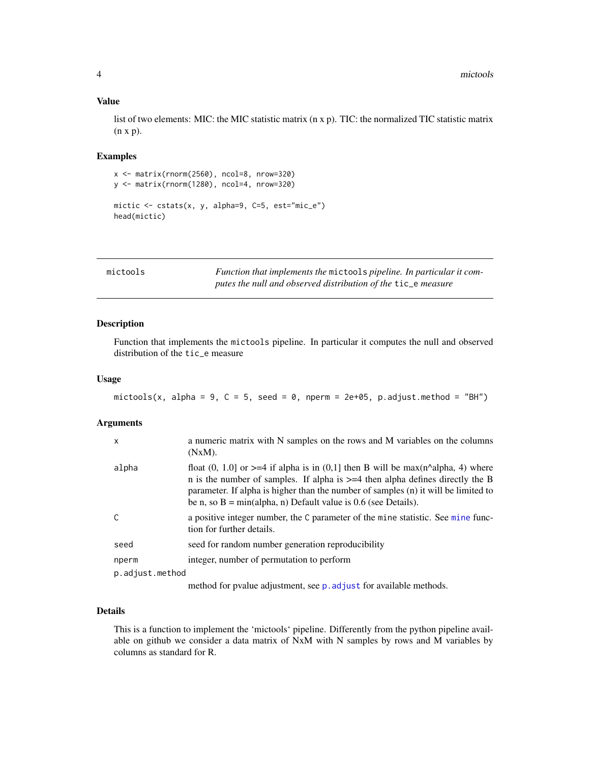## <span id="page-3-0"></span>Value

list of two elements: MIC: the MIC statistic matrix (n x p). TIC: the normalized TIC statistic matrix (n x p).

#### Examples

```
x <- matrix(rnorm(2560), ncol=8, nrow=320)
y <- matrix(rnorm(1280), ncol=4, nrow=320)
mictic \le cstats(x, y, alpha=9, C=5, est="mic_e")
head(mictic)
```
<span id="page-3-1"></span>mictools *Function that implements the* mictools *pipeline. In particular it computes the null and observed distribution of the* tic\_e *measure*

# Description

Function that implements the mictools pipeline. In particular it computes the null and observed distribution of the tic\_e measure

#### Usage

```
mictools(x, alpha = 9, C = 5, seed = 0, nperm = 2e+05, p.adjust.method = "BH")
```
#### Arguments

| X               | a numeric matrix with N samples on the rows and M variables on the columns<br>$(NxM)$ .                                                                                                                                                                                                                                                               |
|-----------------|-------------------------------------------------------------------------------------------------------------------------------------------------------------------------------------------------------------------------------------------------------------------------------------------------------------------------------------------------------|
| alpha           | float $(0, 1.0)$ or $>=$ 4 if alpha is in $(0,1)$ then B will be max $(n^{\text{A}}$ alpha, 4) where<br>n is the number of samples. If alpha is $\geq$ =4 then alpha defines directly the B<br>parameter. If alpha is higher than the number of samples (n) it will be limited to<br>be n, so $B = min(alpha, n)$ Default value is 0.6 (see Details). |
|                 | a positive integer number, the C parameter of the mine statistic. See mine func-<br>tion for further details.                                                                                                                                                                                                                                         |
| seed            | seed for random number generation reproducibility                                                                                                                                                                                                                                                                                                     |
| nperm           | integer, number of permutation to perform                                                                                                                                                                                                                                                                                                             |
| p.adjust.method |                                                                                                                                                                                                                                                                                                                                                       |
|                 | method for pvalue adjustment, see p. adjust for available methods.                                                                                                                                                                                                                                                                                    |

# Details

This is a function to implement the 'mictools' pipeline. Differently from the python pipeline available on github we consider a data matrix of NxM with N samples by rows and M variables by columns as standard for R.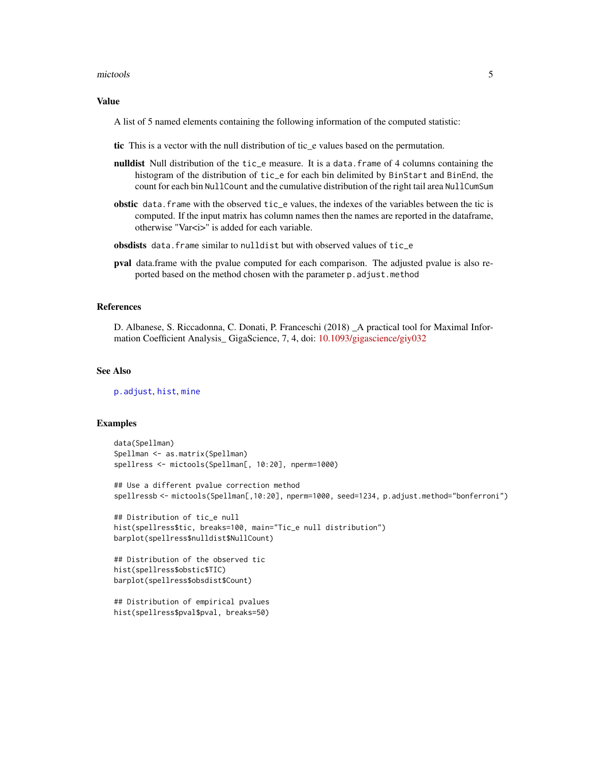#### <span id="page-4-0"></span>mictools 5

#### Value

A list of 5 named elements containing the following information of the computed statistic:

- tic This is a vector with the null distribution of tic\_e values based on the permutation.
- nulldist Null distribution of the tic\_e measure. It is a data.frame of 4 columns containing the histogram of the distribution of tic\_e for each bin delimited by BinStart and BinEnd, the count for each bin NullCount and the cumulative distribution of the right tail area NullCumSum
- obstic data.frame with the observed tic\_e values, the indexes of the variables between the tic is computed. If the input matrix has column names then the names are reported in the dataframe, otherwise "Var<i>" is added for each variable.
- obsdists data.frame similar to nulldist but with observed values of tic\_e
- pval data.frame with the pvalue computed for each comparison. The adjusted pvalue is also reported based on the method chosen with the parameter p.adjust.method

#### References

D. Albanese, S. Riccadonna, C. Donati, P. Franceschi (2018) \_A practical tool for Maximal Information Coefficient Analysis\_ GigaScience, 7, 4, doi: [10.1093/gigascience/giy032](https://doi.org/10.1093/gigascience/giy032)

#### See Also

[p.adjust](#page-0-0), [hist](#page-0-0), [mine](#page-8-1)

#### Examples

```
data(Spellman)
Spellman <- as.matrix(Spellman)
spellress <- mictools(Spellman[, 10:20], nperm=1000)
```
## Use a different pvalue correction method spellressb <- mictools(Spellman[,10:20], nperm=1000, seed=1234, p.adjust.method="bonferroni")

```
## Distribution of tic_e null
hist(spellress$tic, breaks=100, main="Tic_e null distribution")
barplot(spellress$nulldist$NullCount)
```

```
## Distribution of the observed tic
hist(spellress$obstic$TIC)
barplot(spellress$obsdist$Count)
```

```
## Distribution of empirical pvalues
hist(spellress$pval$pval, breaks=50)
```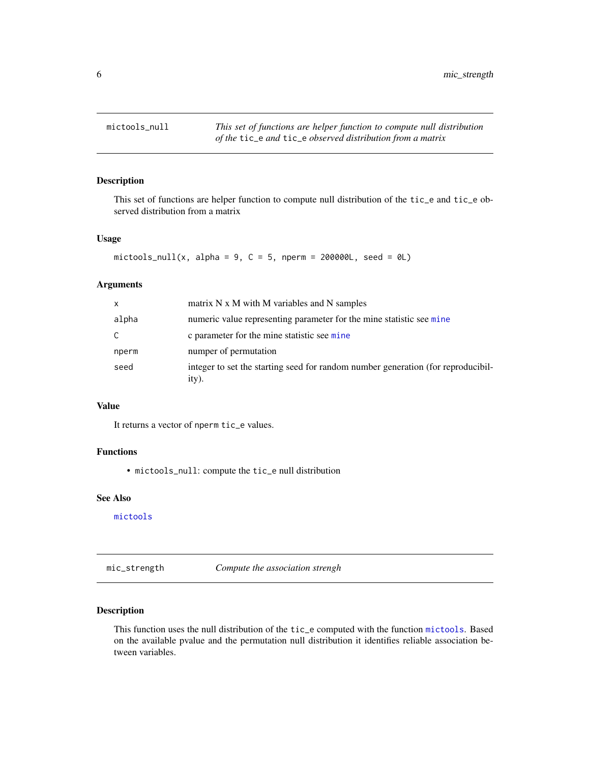<span id="page-5-0"></span>

# Description

This set of functions are helper function to compute null distribution of the tic\_e and tic\_e observed distribution from a matrix

# Usage

```
mictools_null(x, alpha = 9, C = 5, nperm = 200000L, seed = 0L)
```
#### Arguments

| X     | matrix N x M with M variables and N samples                                               |
|-------|-------------------------------------------------------------------------------------------|
| alpha | numeric value representing parameter for the mine statistic see mine                      |
| C     | c parameter for the mine statistic see mine                                               |
| nperm | numper of permutation                                                                     |
| seed  | integer to set the starting seed for random number generation (for reproducibil-<br>ity). |

# Value

It returns a vector of nperm tic\_e values.

# Functions

• mictools\_null: compute the tic\_e null distribution

# See Also

[mictools](#page-3-1)

mic\_strength *Compute the association strengh*

# Description

This function uses the null distribution of the tic\_e computed with the function [mictools](#page-3-1). Based on the available pvalue and the permutation null distribution it identifies reliable association between variables.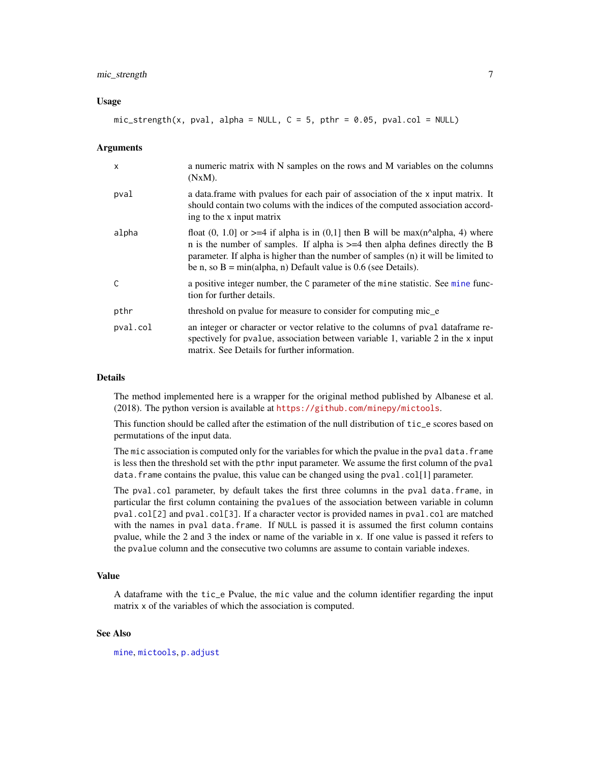# <span id="page-6-0"></span>mic\_strength 7

#### Usage

 $mic\_strength(x, pval, alpha = NULL, C = 5, pthr = 0.05, pval.col = NULL)$ 

#### **Arguments**

| $\mathsf{x}$ | a numeric matrix with N samples on the rows and M variables on the columns<br>$(NxM)$ .                                                                                                                                                                                                                                                            |
|--------------|----------------------------------------------------------------------------------------------------------------------------------------------------------------------------------------------------------------------------------------------------------------------------------------------------------------------------------------------------|
| pval         | a data frame with pvalues for each pair of association of the x input matrix. It<br>should contain two colums with the indices of the computed association accord-<br>ing to the x input matrix                                                                                                                                                    |
| alpha        | float $(0, 1.0)$ or $>= 4$ if alpha is in $(0,1)$ then B will be max $(n^{\text{A}}$ alpha, 4) where<br>n is the number of samples. If alpha is $>=$ 4 then alpha defines directly the B<br>parameter. If alpha is higher than the number of samples (n) it will be limited to<br>be n, so $B = min(alpha, n)$ Default value is 0.6 (see Details). |
| $\mathsf{C}$ | a positive integer number, the C parameter of the mine statistic. See mine func-<br>tion for further details.                                                                                                                                                                                                                                      |
| pthr         | threshold on pvalue for measure to consider for computing mic_e                                                                                                                                                                                                                                                                                    |
| pval.col     | an integer or character or vector relative to the columns of pval data frame re-<br>spectively for pvalue, association between variable 1, variable 2 in the x input<br>matrix. See Details for further information.                                                                                                                               |

# Details

The method implemented here is a wrapper for the original method published by Albanese et al. (2018). The python version is available at <https://github.com/minepy/mictools>.

This function should be called after the estimation of the null distribution of tic\_e scores based on permutations of the input data.

The mic association is computed only for the variables for which the pvalue in the pval data. frame is less then the threshold set with the pthr input parameter. We assume the first column of the pval data. frame contains the pvalue, this value can be changed using the pval.col[1] parameter.

The pval.col parameter, by default takes the first three columns in the pval data.frame, in particular the first column containing the pvalues of the association between variable in column pval.col[2] and pval.col[3]. If a character vector is provided names in pval.col are matched with the names in pval data.frame. If NULL is passed it is assumed the first column contains pvalue, while the 2 and 3 the index or name of the variable in x. If one value is passed it refers to the pvalue column and the consecutive two columns are assume to contain variable indexes.

# Value

A dataframe with the tic\_e Pvalue, the mic value and the column identifier regarding the input matrix x of the variables of which the association is computed.

#### See Also

[mine](#page-8-1), [mictools](#page-3-1), [p.adjust](#page-0-0)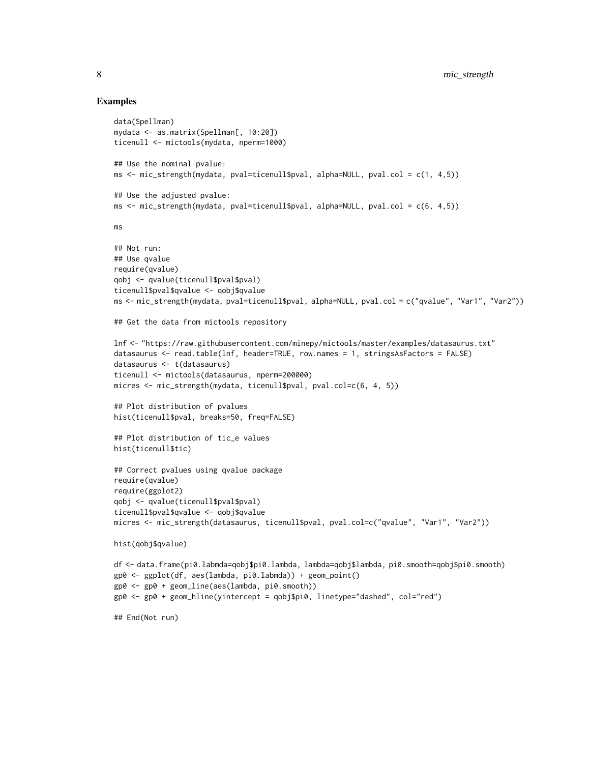#### Examples

```
data(Spellman)
mydata <- as.matrix(Spellman[, 10:20])
ticenull <- mictools(mydata, nperm=1000)
## Use the nominal pvalue:
ms <- mic_strength(mydata, pval=ticenull$pval, alpha=NULL, pval.col = c(1, 4,5))
## Use the adjusted pvalue:
ms <- mic_strength(mydata, pval=ticenull$pval, alpha=NULL, pval.col = c(6, 4,5))
ms
## Not run:
## Use qvalue
require(qvalue)
qobj <- qvalue(ticenull$pval$pval)
ticenull$pval$qvalue <- qobj$qvalue
ms <- mic_strength(mydata, pval=ticenull$pval, alpha=NULL, pval.col = c("qvalue", "Var1", "Var2"))
## Get the data from mictools repository
lnf <- "https://raw.githubusercontent.com/minepy/mictools/master/examples/datasaurus.txt"
datasaurus <- read.table(lnf, header=TRUE, row.names = 1, stringsAsFactors = FALSE)
datasaurus <- t(datasaurus)
ticenull <- mictools(datasaurus, nperm=200000)
micres <- mic_strength(mydata, ticenull$pval, pval.col=c(6, 4, 5))
## Plot distribution of pvalues
hist(ticenull$pval, breaks=50, freq=FALSE)
## Plot distribution of tic_e values
hist(ticenull$tic)
## Correct pvalues using qvalue package
require(qvalue)
require(ggplot2)
qobj <- qvalue(ticenull$pval$pval)
ticenull$pval$qvalue <- qobj$qvalue
micres <- mic_strength(datasaurus, ticenull$pval, pval.col=c("qvalue", "Var1", "Var2"))
hist(qobj$qvalue)
df <- data.frame(pi0.labmda=qobj$pi0.lambda, lambda=qobj$lambda, pi0.smooth=qobj$pi0.smooth)
gp0 <- ggplot(df, aes(lambda, pi0.labmda)) + geom_point()
gp0 <- gp0 + geom_line(aes(lambda, pi0.smooth))
gp0 <- gp0 + geom_hline(yintercept = qobj$pi0, linetype="dashed", col="red")
## End(Not run)
```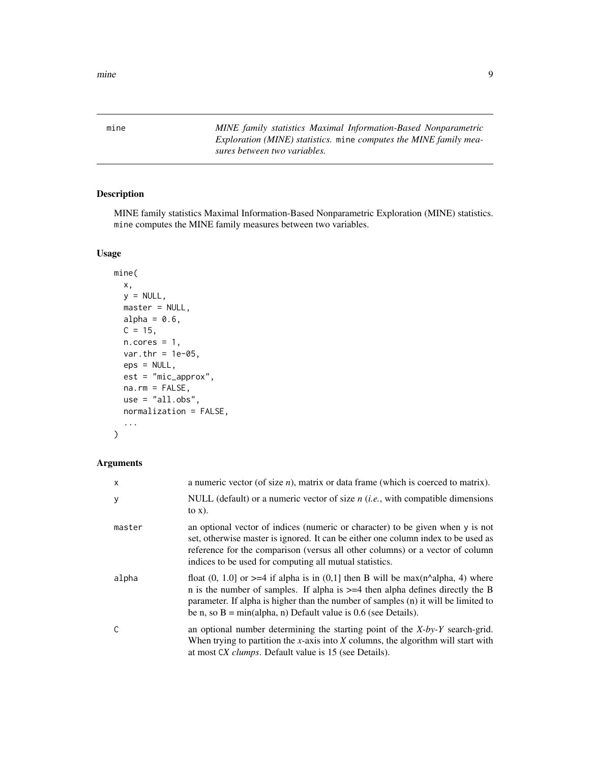<span id="page-8-1"></span><span id="page-8-0"></span>

mine *MINE family statistics Maximal Information-Based Nonparametric Exploration (MINE) statistics.* mine *computes the MINE family measures between two variables.*

# Description

MINE family statistics Maximal Information-Based Nonparametric Exploration (MINE) statistics. mine computes the MINE family measures between two variables.

# Usage

```
mine(
  x,
 y = NULL,master = NULL,
 alpha = 0.6,
 C = 15,
 n.cores = 1,var.thr = 1e-05,
  eps = NULL,
  est = "mic_approx",
 na.rm = FALSE,use = "all.obs",normalization = FALSE,
  ...
)
```
# Arguments

| x      | a numeric vector (of size $n$ ), matrix or data frame (which is coerced to matrix).                                                                                                                                                                                                                                                                |
|--------|----------------------------------------------------------------------------------------------------------------------------------------------------------------------------------------------------------------------------------------------------------------------------------------------------------------------------------------------------|
| У      | NULL (default) or a numeric vector of size $n$ ( <i>i.e.</i> , with compatible dimensions<br>to $x)$ .                                                                                                                                                                                                                                             |
| master | an optional vector of indices (numeric or character) to be given when y is not<br>set, otherwise master is ignored. It can be either one column index to be used as<br>reference for the comparison (versus all other columns) or a vector of column<br>indices to be used for computing all mutual statistics.                                    |
| alpha  | float $(0, 1.0)$ or $>=$ 4 if alpha is in $(0,1)$ then B will be max $(n^{\text{A}}$ alpha, 4) where<br>n is the number of samples. If alpha is $>=$ 4 then alpha defines directly the B<br>parameter. If alpha is higher than the number of samples (n) it will be limited to<br>be n, so $B = min(alpha, n)$ Default value is 0.6 (see Details). |
| C      | an optional number determining the starting point of the $X$ -by-Y search-grid.<br>When trying to partition the x-axis into $X$ columns, the algorithm will start with<br>at most CX <i>clumps</i> . Default value is 15 (see Details).                                                                                                            |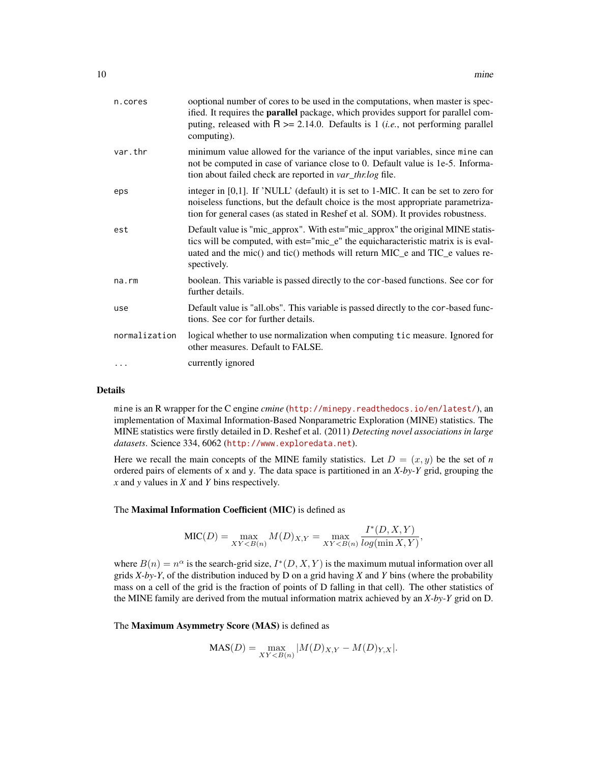| n.cores       | ooptional number of cores to be used in the computations, when master is spec-<br>ified. It requires the <b>parallel</b> package, which provides support for parallel com-<br>puting, released with $R \ge 2.14.0$ . Defaults is 1 ( <i>i.e.</i> , not performing parallel<br>computing). |
|---------------|-------------------------------------------------------------------------------------------------------------------------------------------------------------------------------------------------------------------------------------------------------------------------------------------|
| var.thr       | minimum value allowed for the variance of the input variables, since mine can<br>not be computed in case of variance close to 0. Default value is 1e-5. Informa-<br>tion about failed check are reported in var_thr.log file.                                                             |
| eps           | integer in $[0,1]$ . If 'NULL' (default) it is set to 1-MIC. It can be set to zero for<br>noiseless functions, but the default choice is the most appropriate parametriza-<br>tion for general cases (as stated in Reshef et al. SOM). It provides robustness.                            |
| est           | Default value is "mic_approx". With est="mic_approx" the original MINE statis-<br>tics will be computed, with est="mic_e" the equicharacteristic matrix is is eval-<br>uated and the mic() and tic() methods will return MIC_e and TIC_e values re-<br>spectively.                        |
| na.rm         | boolean. This variable is passed directly to the cor-based functions. See cor for<br>further details.                                                                                                                                                                                     |
| use           | Default value is "all.obs". This variable is passed directly to the cor-based func-<br>tions. See cor for further details.                                                                                                                                                                |
| normalization | logical whether to use normalization when computing tic measure. Ignored for<br>other measures. Default to FALSE.                                                                                                                                                                         |
|               | currently ignored                                                                                                                                                                                                                                                                         |
|               |                                                                                                                                                                                                                                                                                           |

# Details

mine is an R wrapper for the C engine *cmine* (<http://minepy.readthedocs.io/en/latest/>), an implementation of Maximal Information-Based Nonparametric Exploration (MINE) statistics. The MINE statistics were firstly detailed in D. Reshef et al. (2011) *Detecting novel associations in large datasets*. Science 334, 6062 (<http://www.exploredata.net>).

Here we recall the main concepts of the MINE family statistics. Let  $D = (x, y)$  be the set of *n* ordered pairs of elements of x and y. The data space is partitioned in an *X-by-Y* grid, grouping the *x* and *y* values in *X* and *Y* bins respectively.

# The Maximal Information Coefficient (MIC) is defined as

$$
\text{MIC}(D) = \max_{XY < B(n)} M(D)_{X,Y} = \max_{XY < B(n)} \frac{I^*(D,X,Y)}{\log(\min X,Y)},
$$

where  $B(n) = n^{\alpha}$  is the search-grid size,  $I^*(D, X, Y)$  is the maximum mutual information over all grids *X-by-Y*, of the distribution induced by D on a grid having *X* and *Y* bins (where the probability mass on a cell of the grid is the fraction of points of D falling in that cell). The other statistics of the MINE family are derived from the mutual information matrix achieved by an *X-by-Y* grid on D.

# The Maximum Asymmetry Score (MAS) is defined as

$$
MAS(D) = \max_{XY < B(n)} |M(D)_{X,Y} - M(D)_{Y,X}|.
$$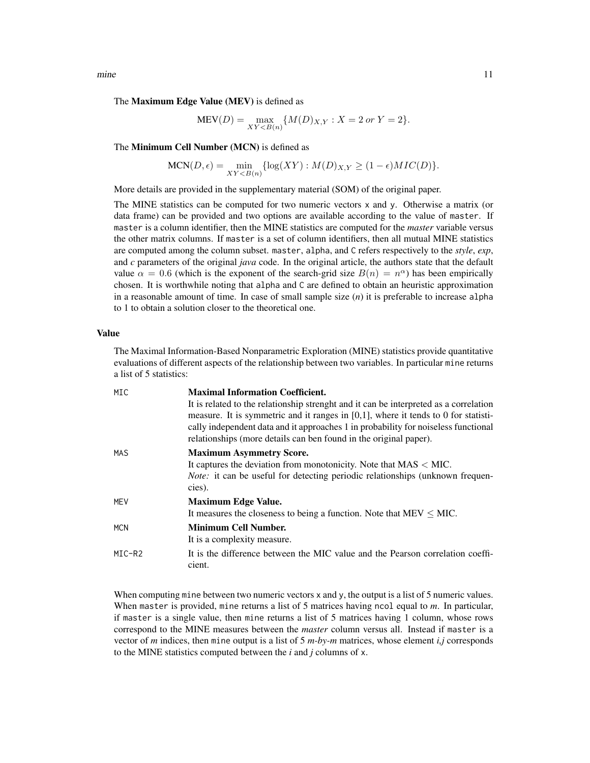mine the contract of the contract of the contract of the contract of the contract of the contract of the contract of the contract of the contract of the contract of the contract of the contract of the contract of the contr

#### The Maximum Edge Value (MEV) is defined as

$$
MEV(D) = \max_{XY < B(n)} \{ M(D)_{X,Y} : X = 2 \text{ or } Y = 2 \}.
$$

The Minimum Cell Number (MCN) is defined as

$$
MCN(D, \epsilon) = \min_{XY < B(n)} \{ \log(XY) : M(D)_{X,Y} \ge (1 - \epsilon)MIC(D) \}.
$$

More details are provided in the supplementary material (SOM) of the original paper.

The MINE statistics can be computed for two numeric vectors x and y. Otherwise a matrix (or data frame) can be provided and two options are available according to the value of master. If master is a column identifier, then the MINE statistics are computed for the *master* variable versus the other matrix columns. If master is a set of column identifiers, then all mutual MINE statistics are computed among the column subset. master, alpha, and C refers respectively to the *style*, *exp*, and *c* parameters of the original *java* code. In the original article, the authors state that the default value  $\alpha = 0.6$  (which is the exponent of the search-grid size  $B(n) = n^{\alpha}$ ) has been empirically chosen. It is worthwhile noting that alpha and C are defined to obtain an heuristic approximation in a reasonable amount of time. In case of small sample size (*n*) it is preferable to increase alpha to 1 to obtain a solution closer to the theoretical one.

#### Value

The Maximal Information-Based Nonparametric Exploration (MINE) statistics provide quantitative evaluations of different aspects of the relationship between two variables. In particular mine returns a list of 5 statistics:

| MIC        | <b>Maximal Information Coefficient.</b>                                                                                                                                     |
|------------|-----------------------------------------------------------------------------------------------------------------------------------------------------------------------------|
|            | It is related to the relationship strenght and it can be interpreted as a correlation                                                                                       |
|            | measure. It is symmetric and it ranges in $[0,1]$ , where it tends to 0 for statisti-<br>cally independent data and it approaches 1 in probability for noiseless functional |
|            | relationships (more details can ben found in the original paper).                                                                                                           |
| <b>MAS</b> | <b>Maximum Asymmetry Score.</b>                                                                                                                                             |
|            | It captures the deviation from monotonicity. Note that $MAS < MIC$ .                                                                                                        |
|            | <i>Note:</i> it can be useful for detecting periodic relationships (unknown frequen-                                                                                        |
|            | cies).                                                                                                                                                                      |
| <b>MFV</b> | <b>Maximum Edge Value.</b>                                                                                                                                                  |
|            | It measures the closeness to being a function. Note that $MEV \leq MIC$ .                                                                                                   |
| <b>MCN</b> | <b>Minimum Cell Number.</b>                                                                                                                                                 |
|            | It is a complexity measure.                                                                                                                                                 |
| MIC-R2     | It is the difference between the MIC value and the Pearson correlation coeffi-<br>cient.                                                                                    |

When computing mine between two numeric vectors x and y, the output is a list of 5 numeric values. When master is provided, mine returns a list of 5 matrices having ncol equal to *m*. In particular, if master is a single value, then mine returns a list of 5 matrices having 1 column, whose rows correspond to the MINE measures between the *master* column versus all. Instead if master is a vector of *m* indices, then mine output is a list of 5 *m-by-m* matrices, whose element *i,j* corresponds to the MINE statistics computed between the *i* and *j* columns of x.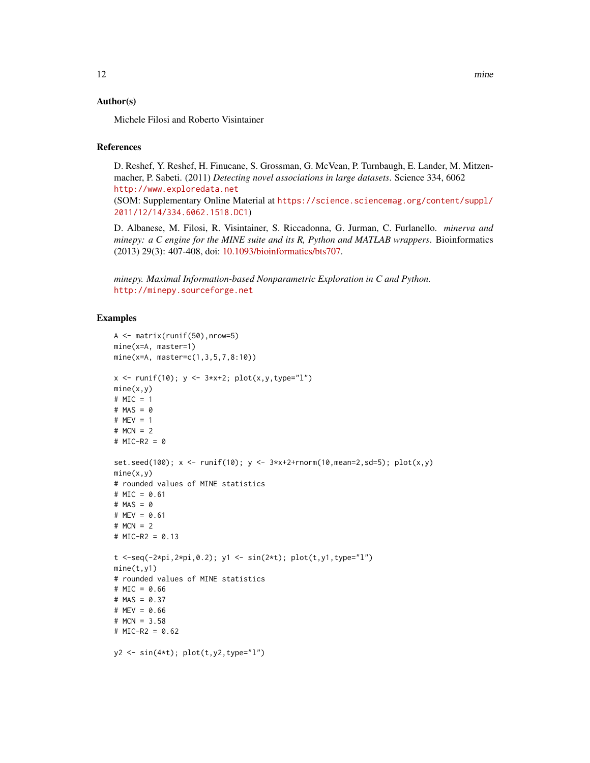#### Author(s)

Michele Filosi and Roberto Visintainer

### References

D. Reshef, Y. Reshef, H. Finucane, S. Grossman, G. McVean, P. Turnbaugh, E. Lander, M. Mitzenmacher, P. Sabeti. (2011) *Detecting novel associations in large datasets*. Science 334, 6062 <http://www.exploredata.net>

(SOM: Supplementary Online Material at [https://science.sciencemag.org/content/suppl/](https://science.sciencemag.org/content/suppl/2011/12/14/334.6062.1518.DC1) [2011/12/14/334.6062.1518.DC1](https://science.sciencemag.org/content/suppl/2011/12/14/334.6062.1518.DC1))

D. Albanese, M. Filosi, R. Visintainer, S. Riccadonna, G. Jurman, C. Furlanello. *minerva and minepy: a C engine for the MINE suite and its R, Python and MATLAB wrappers*. Bioinformatics (2013) 29(3): 407-408, doi: [10.1093/bioinformatics/bts707.](https://doi.org/10.1093/bioinformatics/bts707)

*minepy. Maximal Information-based Nonparametric Exploration in C and Python.* <http://minepy.sourceforge.net>

# Examples

```
A <- matrix(runif(50),nrow=5)
mine(x=A, master=1)
mine(x=A, master=c(1,3,5,7,8:10))
x \le runif(10); y \le -3*x+2; plot(x, y, type="1")mine(x,y)# MIC = 1
# MAS = 0
# MEV = 1
# MCN = 2
# MIC-R2 = 0
set.seed(100); x \le runif(10); y \le -3*x+2+rnorm(10,mean=2,sd=5); plot(x, y)mine(x,y)# rounded values of MINE statistics
# MIC = 0.61
# MAS = 0# MEV = 0.61
# MCN = 2
# MIC-R2 = 0.13
t <-seq(-2*pi,2*pi,0.2); y1 <- sin(2*t); plot(t,y1,type="l")
mine(t,y1)
# rounded values of MINE statistics
# MIC = 0.66
# MAS = 0.37
# MEV = 0.66
# MCN = 3.58
# MIC-R2 = 0.62
y2 \le -\sin(4*t); \text{plot}(t, y2, type="1")
```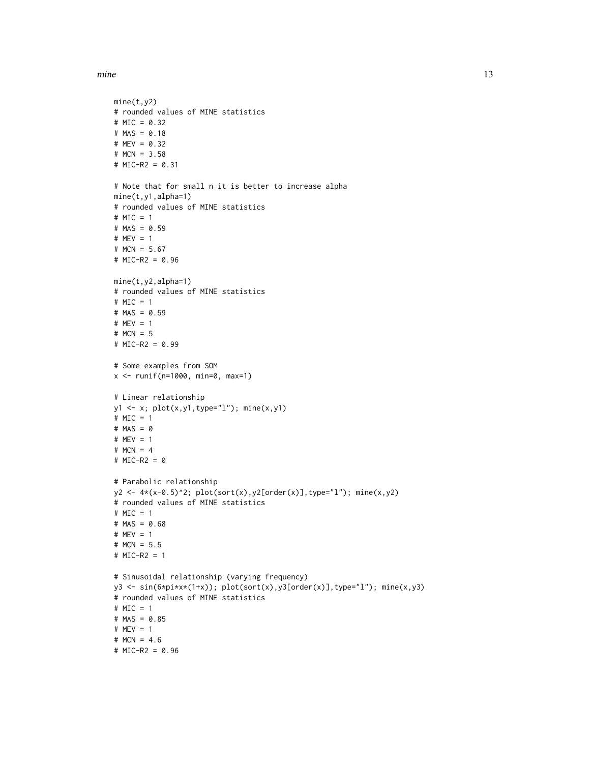```
mine(t,y2)
# rounded values of MINE statistics
# MIC = 0.32# MAS = 0.18# MEV = 0.32
# MCN = 3.58
# MIC-R2 = 0.31
# Note that for small n it is better to increase alpha
mine(t,y1,alpha=1)
# rounded values of MINE statistics
# MIC = 1
# MAS = 0.59
# MEV = 1
# MCN = 5.67
# MIC-R2 = 0.96
mine(t,y2,alpha=1)
# rounded values of MINE statistics
# MIC = 1
# MAS = 0.59
# MEV = 1
# MCN = 5
# MIC-R2 = 0.99
# Some examples from SOM
x <- runif(n=1000, min=0, max=1)
# Linear relationship
y1 <- x; plot(x,y1,type="l"); mine(x,y1)
# MIC = 1
# MAS = 0
# MEV = 1
# MCN = 4
# MIC-R2 = 0
# Parabolic relationship
y2 <- 4*(x-0.5)^2; plot(sort(x),y2[order(x)],type="l"); mine(x,y2)
# rounded values of MINE statistics
# MIC = 1
# MAS = 0.68
# MEV = 1
# MCN = 5.5
# MIC-R2 = 1
# Sinusoidal relationship (varying frequency)
y3 \leq \sin(6 \times pi \times x \times (1+x)); plot(sort(x), y3[order(x)], type="1"); mine(x, y3)
# rounded values of MINE statistics
# MIC = 1
# MAS = 0.85
# MEV = 1
# MCN = 4.6
# MIC-R2 = 0.96
```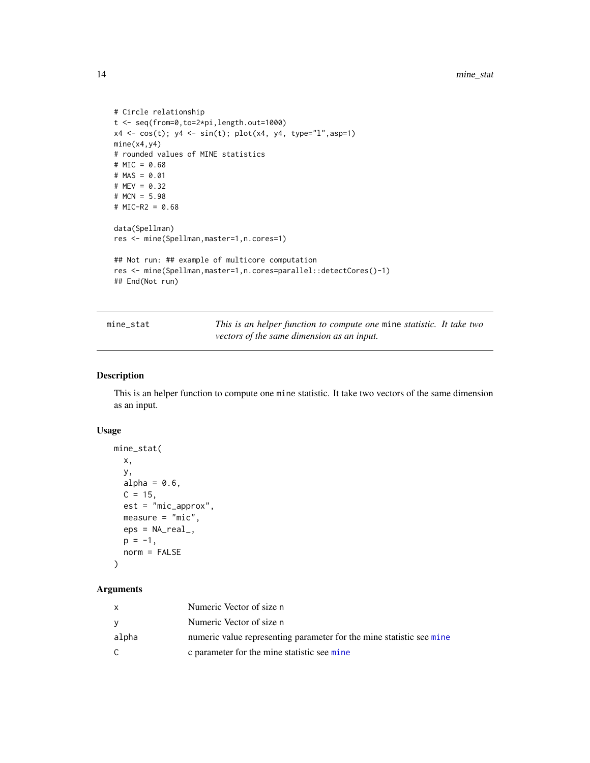```
# Circle relationship
t <- seq(from=0,to=2*pi,length.out=1000)
x4 \leq \cos(t); y4 \leq \sin(t); plot(x4, y4, type="1", asp=1)mine(x4,y4)
# rounded values of MINE statistics
# MIC = 0.68
# MAS = 0.01
# MEV = 0.32# MCN = 5.98
# MIC-R2 = 0.68
data(Spellman)
res <- mine(Spellman,master=1,n.cores=1)
## Not run: ## example of multicore computation
res <- mine(Spellman,master=1,n.cores=parallel::detectCores()-1)
## End(Not run)
```
mine\_stat *This is an helper function to compute one* mine *statistic. It take two vectors of the same dimension as an input.*

# Description

This is an helper function to compute one mine statistic. It take two vectors of the same dimension as an input.

# Usage

```
mine_stat(
  x,
  y,
  alpha = 0.6,
  C = 15,
  est = "mic_approx",
  measure = "mic",eps = NA\_real_p = -1,
  norm = FALSE
\mathcal{L}
```
# Arguments

|       | Numeric Vector of size n                                             |
|-------|----------------------------------------------------------------------|
|       | Numeric Vector of size n                                             |
| alpha | numeric value representing parameter for the mine statistic see mine |
|       | c parameter for the mine statistic see mine                          |

<span id="page-13-0"></span>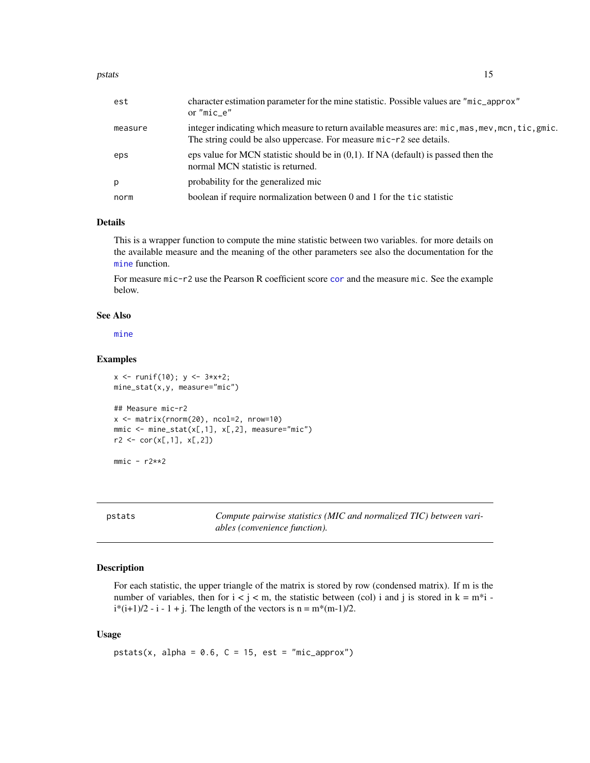<span id="page-14-0"></span>

| est     | character estimation parameter for the mine statistic. Possible values are "mic_approx"<br>or "mic e"                                                                    |
|---------|--------------------------------------------------------------------------------------------------------------------------------------------------------------------------|
| measure | integer indicating which measure to return available measures are: mic, mas, mev, mcn, tic, gmic.<br>The string could be also uppercase. For measure mic-r2 see details. |
| eps     | eps value for MCN statistic should be in $(0,1)$ . If NA (default) is passed then the<br>normal MCN statistic is returned.                                               |
| p       | probability for the generalized mic                                                                                                                                      |
| norm    | boolean if require normalization between 0 and 1 for the tic statistic                                                                                                   |

# Details

This is a wrapper function to compute the mine statistic between two variables. for more details on the available measure and the meaning of the other parameters see also the documentation for the [mine](#page-8-1) function.

For measure mic-r2 use the Pearson R coefficient score [cor](#page-0-0) and the measure mic. See the example below.

# See Also

[mine](#page-8-1)

# Examples

```
x \leftarrow runif(10); y \leftarrow 3*x+2;mine_stat(x,y, measure="mic")
## Measure mic-r2
x <- matrix(rnorm(20), ncol=2, nrow=10)
mmic \leftarrow mine\_stat(x[,1], x[,2], measure="mic")r2 \leq corr(x[, 1], x[, 2])
```
 $mmic - r2**2$ 

pstats *Compute pairwise statistics (MIC and normalized TIC) between variables (convenience function).*

# Description

For each statistic, the upper triangle of the matrix is stored by row (condensed matrix). If m is the number of variables, then for  $i < j < m$ , the statistic between (col) i and j is stored in  $k = m<sup>*</sup>i$ .  $i*(i+1)/2 - i - 1 + j$ . The length of the vectors is  $n = m*(m-1)/2$ .

#### Usage

pstats(x, alpha =  $0.6$ ,  $C = 15$ , est = "mic\_approx")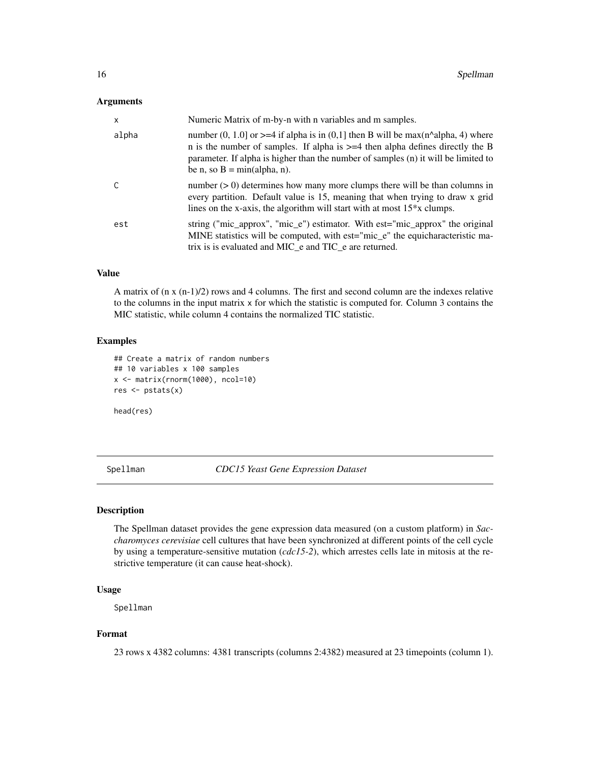#### <span id="page-15-0"></span>**Arguments**

| $\mathsf{x}$ | Numeric Matrix of m-by-n with n variables and m samples.                                                                                                                                                                                                                                           |
|--------------|----------------------------------------------------------------------------------------------------------------------------------------------------------------------------------------------------------------------------------------------------------------------------------------------------|
| alpha        | number (0, 1.0] or $\geq$ =4 if alpha is in (0,1] then B will be max(n^alpha, 4) where<br>n is the number of samples. If alpha is $>=$ 4 then alpha defines directly the B<br>parameter. If alpha is higher than the number of samples (n) it will be limited to<br>be n, so $B = min(alpha, n)$ . |
| C            | number $(> 0)$ determines how many more clumps there will be than columns in<br>every partition. Default value is 15, meaning that when trying to draw x grid<br>lines on the x-axis, the algorithm will start with at most $15*x$ clumps.                                                         |
| est          | string ("mic_approx", "mic_e") estimator. With est="mic_approx" the original<br>MINE statistics will be computed, with est="mic_e" the equicharacteristic ma-<br>trix is is evaluated and MIC e and TIC e are returned.                                                                            |

# Value

A matrix of (n x (n-1)/2) rows and 4 columns. The first and second column are the indexes relative to the columns in the input matrix x for which the statistic is computed for. Column 3 contains the MIC statistic, while column 4 contains the normalized TIC statistic.

# Examples

```
## Create a matrix of random numbers
## 10 variables x 100 samples
x <- matrix(rnorm(1000), ncol=10)
res <- pstats(x)
```
head(res)

<span id="page-15-1"></span>Spellman *CDC15 Yeast Gene Expression Dataset*

#### Description

The Spellman dataset provides the gene expression data measured (on a custom platform) in *Saccharomyces cerevisiae* cell cultures that have been synchronized at different points of the cell cycle by using a temperature-sensitive mutation (*cdc15-2*), which arrestes cells late in mitosis at the restrictive temperature (it can cause heat-shock).

# Usage

Spellman

# Format

23 rows x 4382 columns: 4381 transcripts (columns 2:4382) measured at 23 timepoints (column 1).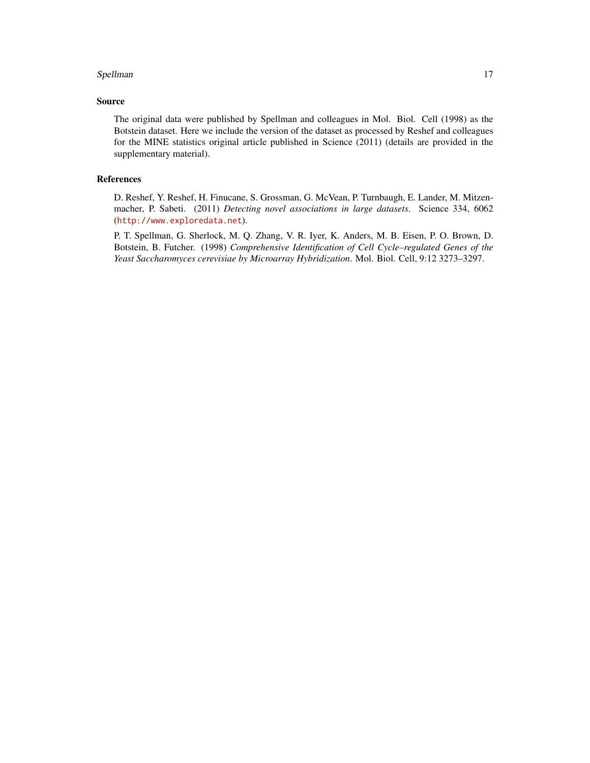#### Spellman and the state of the state of the state of the state of the state of the state of the state of the state of the state of the state of the state of the state of the state of the state of the state of the state of t

# Source

The original data were published by Spellman and colleagues in Mol. Biol. Cell (1998) as the Botstein dataset. Here we include the version of the dataset as processed by Reshef and colleagues for the MINE statistics original article published in Science (2011) (details are provided in the supplementary material).

# References

D. Reshef, Y. Reshef, H. Finucane, S. Grossman, G. McVean, P. Turnbaugh, E. Lander, M. Mitzenmacher, P. Sabeti. (2011) *Detecting novel associations in large datasets*. Science 334, 6062 (<http://www.exploredata.net>).

P. T. Spellman, G. Sherlock, M. Q. Zhang, V. R. Iyer, K. Anders, M. B. Eisen, P. O. Brown, D. Botstein, B. Futcher. (1998) *Comprehensive Identification of Cell Cycle–regulated Genes of the Yeast Saccharomyces cerevisiae by Microarray Hybridization*. Mol. Biol. Cell, 9:12 3273–3297.